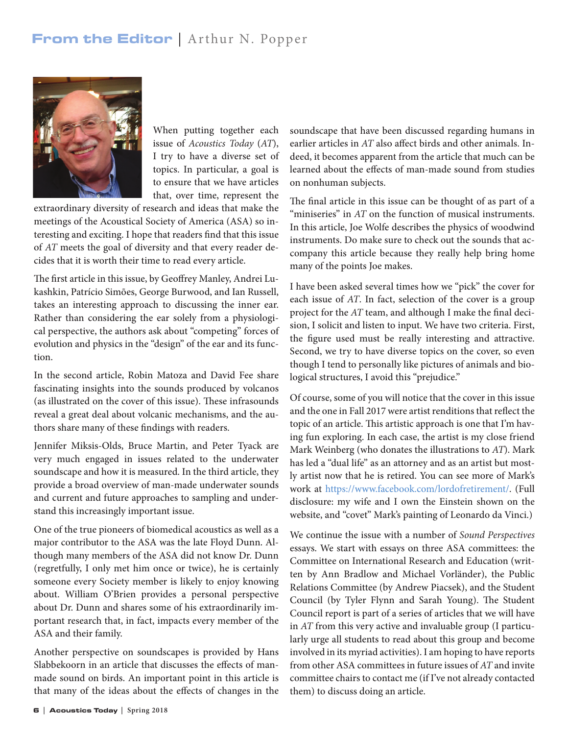## From the Editor | Arthur N. Popper



When putting together each issue of *Acoustics Today* (*AT*), I try to have a diverse set of topics. In particular, a goal is to ensure that we have articles that, over time, represent the

extraordinary diversity of research and ideas that make the meetings of the Acoustical Society of America (ASA) so interesting and exciting. I hope that readers find that this issue of *AT* meets the goal of diversity and that every reader decides that it is worth their time to read every article.

The first article in this issue, by Geoffrey Manley, Andrei Lukashkin, Patrício Simões, George Burwood, and Ian Russell, takes an interesting approach to discussing the inner ear. Rather than considering the ear solely from a physiological perspective, the authors ask about "competing" forces of evolution and physics in the "design" of the ear and its function.

In the second article, Robin Matoza and David Fee share fascinating insights into the sounds produced by volcanos (as illustrated on the cover of this issue). These infrasounds reveal a great deal about volcanic mechanisms, and the authors share many of these findings with readers.

Jennifer Miksis-Olds, Bruce Martin, and Peter Tyack are very much engaged in issues related to the underwater soundscape and how it is measured. In the third article, they provide a broad overview of man-made underwater sounds and current and future approaches to sampling and understand this increasingly important issue.

One of the true pioneers of biomedical acoustics as well as a major contributor to the ASA was the late Floyd Dunn. Although many members of the ASA did not know Dr. Dunn (regretfully, I only met him once or twice), he is certainly someone every Society member is likely to enjoy knowing about. William O'Brien provides a personal perspective about Dr. Dunn and shares some of his extraordinarily important research that, in fact, impacts every member of the ASA and their family.

Another perspective on soundscapes is provided by Hans Slabbekoorn in an article that discusses the effects of manmade sound on birds. An important point in this article is that many of the ideas about the effects of changes in the soundscape that have been discussed regarding humans in earlier articles in *AT* also affect birds and other animals. Indeed, it becomes apparent from the article that much can be learned about the effects of man-made sound from studies on nonhuman subjects.

The final article in this issue can be thought of as part of a "miniseries" in *AT* on the function of musical instruments. In this article, Joe Wolfe describes the physics of woodwind instruments. Do make sure to check out the sounds that accompany this article because they really help bring home many of the points Joe makes.

I have been asked several times how we "pick" the cover for each issue of *AT*. In fact, selection of the cover is a group project for the *AT* team, and although I make the final decision, I solicit and listen to input. We have two criteria. First, the figure used must be really interesting and attractive. Second, we try to have diverse topics on the cover, so even though I tend to personally like pictures of animals and biological structures, I avoid this "prejudice."

Of course, some of you will notice that the cover in this issue and the one in Fall 2017 were artist renditions that reflect the topic of an article. This artistic approach is one that I'm having fun exploring. In each case, the artist is my close friend Mark Weinberg (who donates the illustrations to *AT*). Mark has led a "dual life" as an attorney and as an artist but mostly artist now that he is retired. You can see more of Mark's work at https://www.facebook.com/lordofretirement/. (Full disclosure: my wife and I own the Einstein shown on the website, and "covet" Mark's painting of Leonardo da Vinci.)

We continue the issue with a number of *Sound Perspectives* essays. We start with essays on three ASA committees: the Committee on International Research and Education (written by Ann Bradlow and Michael Vorländer), the Public Relations Committee (by Andrew Piacsek), and the Student Council (by Tyler Flynn and Sarah Young). The Student Council report is part of a series of articles that we will have in *AT* from this very active and invaluable group (I particularly urge all students to read about this group and become involved in its myriad activities). I am hoping to have reports from other ASA committees in future issues of *AT* and invite committee chairs to contact me (if I've not already contacted them) to discuss doing an article.